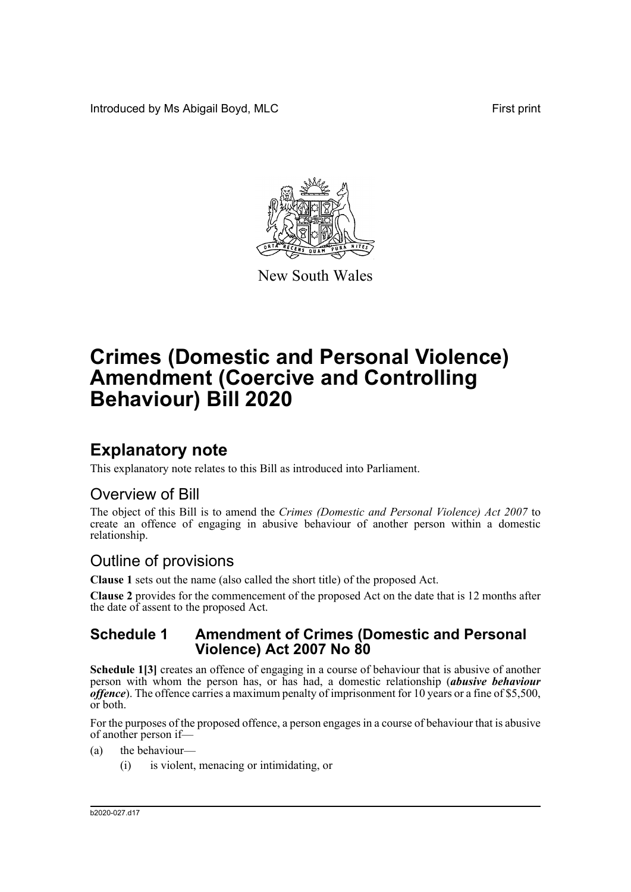Introduced by Ms Abigail Boyd, MLC **First print** 



New South Wales

# **Crimes (Domestic and Personal Violence) Amendment (Coercive and Controlling Behaviour) Bill 2020**

## **Explanatory note**

This explanatory note relates to this Bill as introduced into Parliament.

### Overview of Bill

The object of this Bill is to amend the *Crimes (Domestic and Personal Violence) Act 2007* to create an offence of engaging in abusive behaviour of another person within a domestic relationship.

### Outline of provisions

**Clause 1** sets out the name (also called the short title) of the proposed Act.

**Clause 2** provides for the commencement of the proposed Act on the date that is 12 months after the date of assent to the proposed Act.

#### **Schedule 1 Amendment of Crimes (Domestic and Personal Violence) Act 2007 No 80**

**Schedule 1[3]** creates an offence of engaging in a course of behaviour that is abusive of another person with whom the person has, or has had, a domestic relationship (*abusive behaviour offence*). The offence carries a maximum penalty of imprisonment for 10 years or a fine of \$5,500, or both.

For the purposes of the proposed offence, a person engages in a course of behaviour that is abusive of another person if—

- (a) the behaviour—
	- (i) is violent, menacing or intimidating, or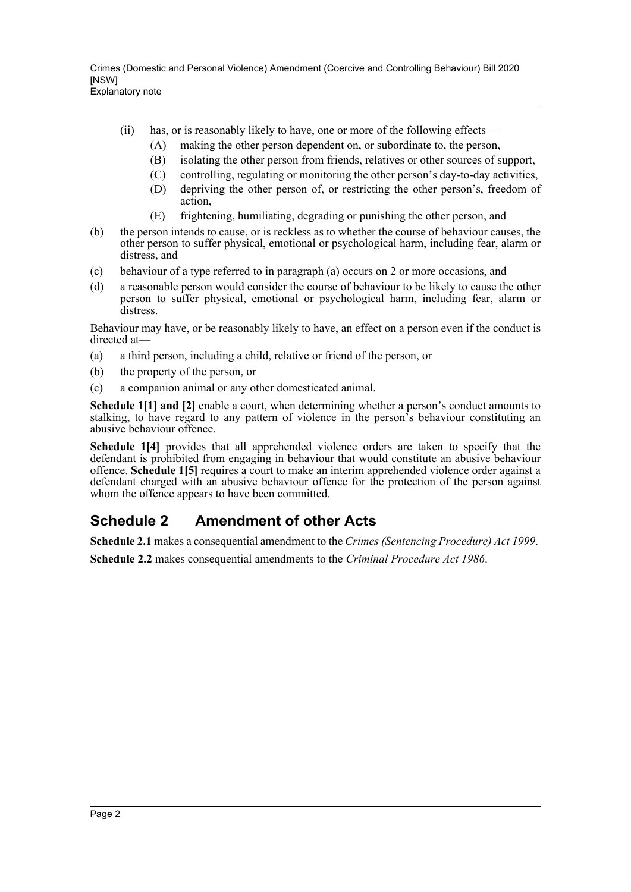- (ii) has, or is reasonably likely to have, one or more of the following effects—
	- (A) making the other person dependent on, or subordinate to, the person,
	- (B) isolating the other person from friends, relatives or other sources of support,
	- (C) controlling, regulating or monitoring the other person's day-to-day activities,
	- (D) depriving the other person of, or restricting the other person's, freedom of action,
	- (E) frightening, humiliating, degrading or punishing the other person, and
- (b) the person intends to cause, or is reckless as to whether the course of behaviour causes, the other person to suffer physical, emotional or psychological harm, including fear, alarm or distress, and
- (c) behaviour of a type referred to in paragraph (a) occurs on 2 or more occasions, and
- (d) a reasonable person would consider the course of behaviour to be likely to cause the other person to suffer physical, emotional or psychological harm, including fear, alarm or distress.

Behaviour may have, or be reasonably likely to have, an effect on a person even if the conduct is directed at—

- (a) a third person, including a child, relative or friend of the person, or
- (b) the property of the person, or
- (c) a companion animal or any other domesticated animal.

**Schedule 1[1] and [2]** enable a court, when determining whether a person's conduct amounts to stalking, to have regard to any pattern of violence in the person's behaviour constituting an abusive behaviour offence.

**Schedule 1[4]** provides that all apprehended violence orders are taken to specify that the defendant is prohibited from engaging in behaviour that would constitute an abusive behaviour offence. **Schedule 1[5]** requires a court to make an interim apprehended violence order against a defendant charged with an abusive behaviour offence for the protection of the person against whom the offence appears to have been committed.

### **Schedule 2 Amendment of other Acts**

**Schedule 2.1** makes a consequential amendment to the *Crimes (Sentencing Procedure) Act 1999*.

**Schedule 2.2** makes consequential amendments to the *Criminal Procedure Act 1986*.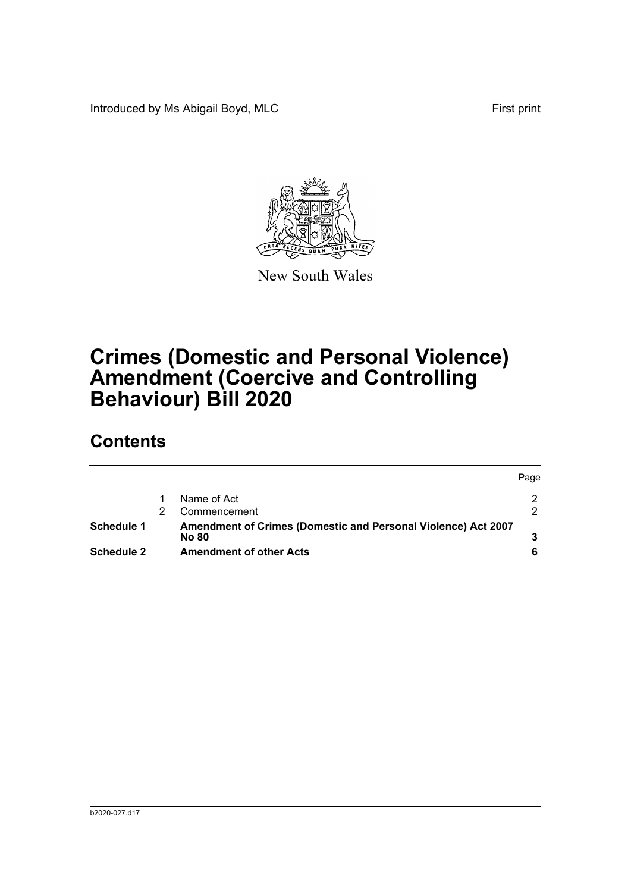Introduced by Ms Abigail Boyd, MLC **First print** 



New South Wales

## **Crimes (Domestic and Personal Violence) Amendment (Coercive and Controlling Behaviour) Bill 2020**

### **Contents**

|                   |                                                                        | Page |
|-------------------|------------------------------------------------------------------------|------|
|                   | Name of Act                                                            |      |
|                   | Commencement                                                           |      |
| <b>Schedule 1</b> | Amendment of Crimes (Domestic and Personal Violence) Act 2007<br>No 80 |      |
| Schedule 2        | <b>Amendment of other Acts</b>                                         |      |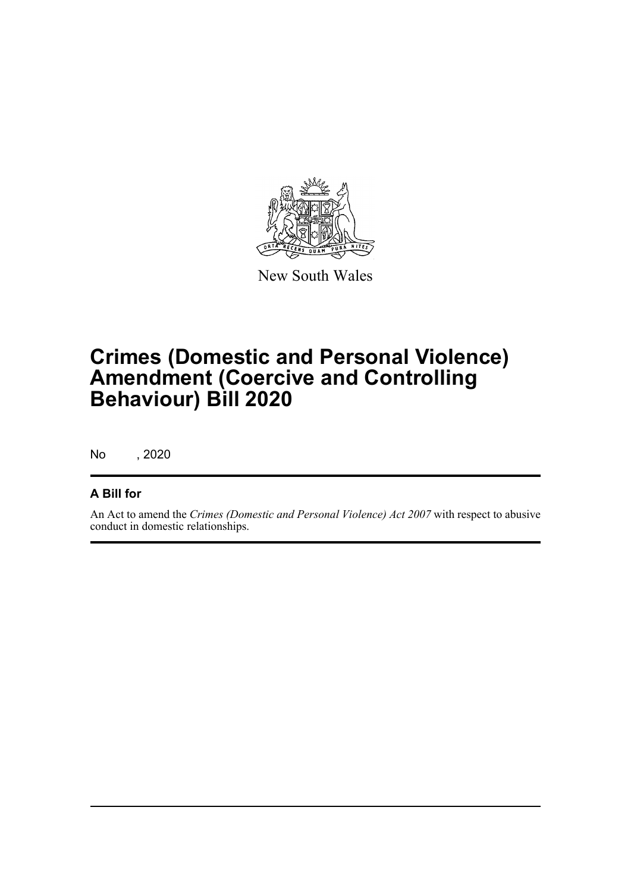

New South Wales

## **Crimes (Domestic and Personal Violence) Amendment (Coercive and Controlling Behaviour) Bill 2020**

No , 2020

#### **A Bill for**

An Act to amend the *Crimes (Domestic and Personal Violence) Act 2007* with respect to abusive conduct in domestic relationships.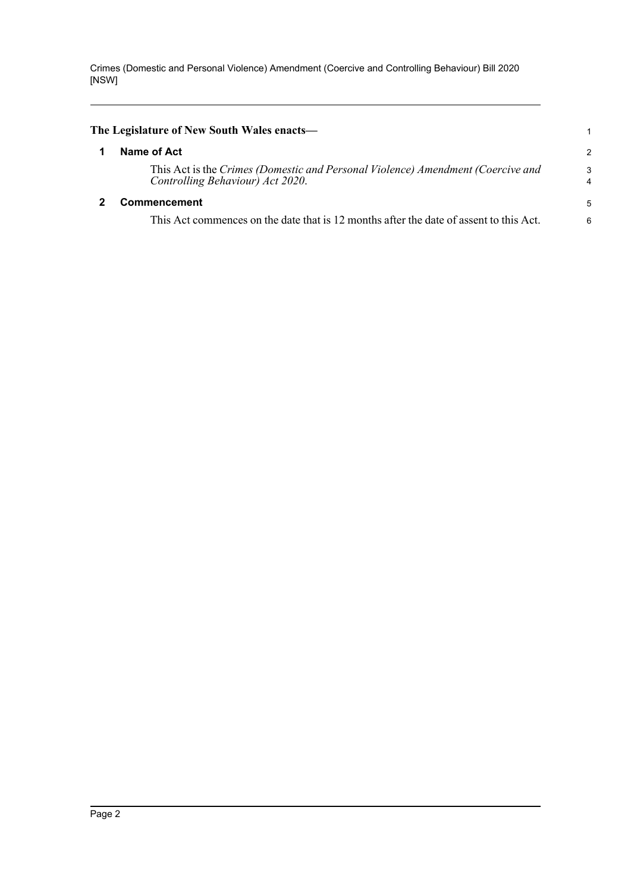Crimes (Domestic and Personal Violence) Amendment (Coercive and Controlling Behaviour) Bill 2020 [NSW]

<span id="page-4-1"></span><span id="page-4-0"></span>

| The Legislature of New South Wales enacts—                                                                          |                     |  |  |  |  |
|---------------------------------------------------------------------------------------------------------------------|---------------------|--|--|--|--|
| Name of Act                                                                                                         | $\overline{2}$      |  |  |  |  |
| This Act is the Crimes (Domestic and Personal Violence) Amendment (Coercive and<br>Controlling Behaviour) Act 2020. | 3<br>$\overline{4}$ |  |  |  |  |
| <b>Commencement</b>                                                                                                 |                     |  |  |  |  |
| This Act commences on the date that is 12 months after the date of assent to this Act.                              | 6                   |  |  |  |  |
|                                                                                                                     |                     |  |  |  |  |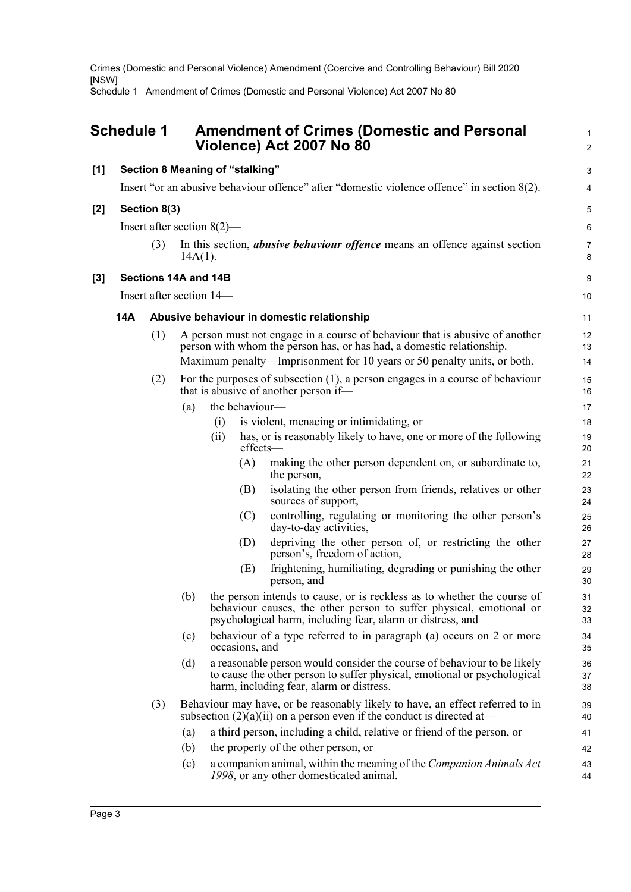Crimes (Domestic and Personal Violence) Amendment (Coercive and Controlling Behaviour) Bill 2020 [NSW]

Schedule 1 Amendment of Crimes (Domestic and Personal Violence) Act 2007 No 80

<span id="page-5-0"></span>

| Schedule 1 |                                                                                             |                          |                                                                                                  | <b>Amendment of Crimes (Domestic and Personal</b><br>Violence) Act 2007 No 80 |                |                                                                                                                                                                                                                                  |                |  |  |
|------------|---------------------------------------------------------------------------------------------|--------------------------|--------------------------------------------------------------------------------------------------|-------------------------------------------------------------------------------|----------------|----------------------------------------------------------------------------------------------------------------------------------------------------------------------------------------------------------------------------------|----------------|--|--|
| [1]        | <b>Section 8 Meaning of "stalking"</b>                                                      |                          |                                                                                                  |                                                                               |                |                                                                                                                                                                                                                                  |                |  |  |
|            | Insert "or an abusive behaviour offence" after "domestic violence offence" in section 8(2). |                          |                                                                                                  |                                                                               |                |                                                                                                                                                                                                                                  |                |  |  |
| [2]        |                                                                                             | Section 8(3)             |                                                                                                  |                                                                               |                |                                                                                                                                                                                                                                  | 5              |  |  |
|            |                                                                                             |                          | Insert after section $8(2)$ —                                                                    |                                                                               |                |                                                                                                                                                                                                                                  | 6              |  |  |
|            |                                                                                             | (3)                      | In this section, <i>abusive behaviour offence</i> means an offence against section<br>$14A(1)$ . |                                                                               |                |                                                                                                                                                                                                                                  |                |  |  |
| [3]        | Sections 14A and 14B                                                                        |                          |                                                                                                  |                                                                               |                |                                                                                                                                                                                                                                  |                |  |  |
|            |                                                                                             | Insert after section 14— |                                                                                                  |                                                                               |                |                                                                                                                                                                                                                                  |                |  |  |
|            | 14A                                                                                         |                          |                                                                                                  |                                                                               |                | Abusive behaviour in domestic relationship                                                                                                                                                                                       | 11             |  |  |
|            |                                                                                             | (1)                      |                                                                                                  |                                                                               |                | A person must not engage in a course of behaviour that is abusive of another<br>person with whom the person has, or has had, a domestic relationship.<br>Maximum penalty—Imprisonment for 10 years or 50 penalty units, or both. | 12<br>13<br>14 |  |  |
|            | (2)<br>that is abusive of another person if—                                                |                          |                                                                                                  |                                                                               |                | For the purposes of subsection $(1)$ , a person engages in a course of behaviour                                                                                                                                                 | 15<br>16       |  |  |
|            |                                                                                             |                          | (a)                                                                                              |                                                                               | the behaviour- |                                                                                                                                                                                                                                  | 17             |  |  |
|            |                                                                                             |                          |                                                                                                  | (i)                                                                           |                | is violent, menacing or intimidating, or                                                                                                                                                                                         | 18             |  |  |
|            |                                                                                             |                          |                                                                                                  | (ii)                                                                          | effects-       | has, or is reasonably likely to have, one or more of the following                                                                                                                                                               | 19<br>20       |  |  |
|            |                                                                                             |                          |                                                                                                  |                                                                               | (A)            | making the other person dependent on, or subordinate to,<br>the person,                                                                                                                                                          | 21<br>22       |  |  |
|            |                                                                                             |                          |                                                                                                  |                                                                               | (B)            | isolating the other person from friends, relatives or other<br>sources of support,                                                                                                                                               | 23<br>24       |  |  |
|            |                                                                                             |                          |                                                                                                  |                                                                               | (C)            | controlling, regulating or monitoring the other person's<br>day-to-day activities,                                                                                                                                               | 25<br>26       |  |  |
|            |                                                                                             |                          |                                                                                                  |                                                                               | (D)            | depriving the other person of, or restricting the other<br>person's, freedom of action,                                                                                                                                          | 27<br>28       |  |  |
|            |                                                                                             |                          |                                                                                                  |                                                                               | (E)            | frightening, humiliating, degrading or punishing the other<br>person, and                                                                                                                                                        | 29<br>30       |  |  |
|            |                                                                                             |                          | (b)                                                                                              |                                                                               |                | the person intends to cause, or is reckless as to whether the course of<br>behaviour causes, the other person to suffer physical, emotional or<br>psychological harm, including fear, alarm or distress, and                     | 31<br>32<br>33 |  |  |
|            |                                                                                             |                          | (c)                                                                                              |                                                                               | occasions, and | behaviour of a type referred to in paragraph (a) occurs on 2 or more                                                                                                                                                             | 34<br>35       |  |  |
|            |                                                                                             |                          | (d)                                                                                              |                                                                               |                | a reasonable person would consider the course of behaviour to be likely<br>to cause the other person to suffer physical, emotional or psychological<br>harm, including fear, alarm or distress.                                  | 36<br>37<br>38 |  |  |
|            |                                                                                             | (3)                      |                                                                                                  |                                                                               |                | Behaviour may have, or be reasonably likely to have, an effect referred to in<br>subsection $(2)(a)(ii)$ on a person even if the conduct is directed at-                                                                         | 39<br>40       |  |  |
|            |                                                                                             |                          | (a)                                                                                              |                                                                               |                | a third person, including a child, relative or friend of the person, or                                                                                                                                                          | 41             |  |  |
|            |                                                                                             |                          | (b)                                                                                              |                                                                               |                | the property of the other person, or                                                                                                                                                                                             | 42             |  |  |
|            |                                                                                             |                          | (c)                                                                                              |                                                                               |                | a companion animal, within the meaning of the Companion Animals Act<br>1998, or any other domesticated animal.                                                                                                                   | 43<br>44       |  |  |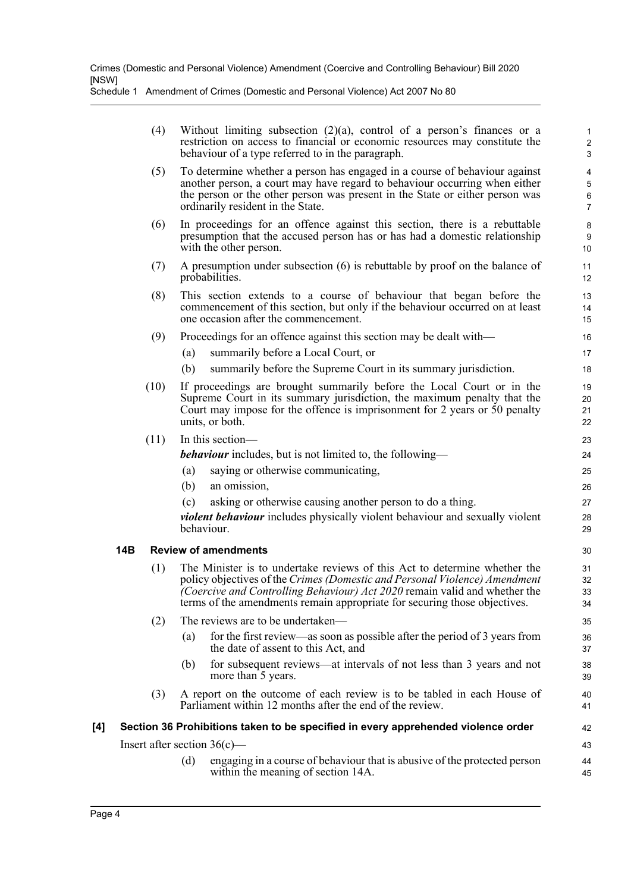|     |            | (4)  | Without limiting subsection $(2)(a)$ , control of a person's finances or a<br>restriction on access to financial or economic resources may constitute the<br>behaviour of a type referred to in the paragraph.                                                                                                            | $\mathbf{1}$<br>$\overline{c}$<br>3                     |  |  |  |
|-----|------------|------|---------------------------------------------------------------------------------------------------------------------------------------------------------------------------------------------------------------------------------------------------------------------------------------------------------------------------|---------------------------------------------------------|--|--|--|
|     |            | (5)  | To determine whether a person has engaged in a course of behaviour against<br>another person, a court may have regard to behaviour occurring when either<br>the person or the other person was present in the State or either person was<br>ordinarily resident in the State.                                             | $\overline{\mathbf{4}}$<br>5<br>$\,6$<br>$\overline{7}$ |  |  |  |
|     |            | (6)  | In proceedings for an offence against this section, there is a rebuttable<br>presumption that the accused person has or has had a domestic relationship<br>with the other person.                                                                                                                                         | 8<br>9<br>10                                            |  |  |  |
|     |            | (7)  | A presumption under subsection $(6)$ is rebuttable by proof on the balance of<br>probabilities.                                                                                                                                                                                                                           | 11<br>12                                                |  |  |  |
|     |            | (8)  | This section extends to a course of behaviour that began before the<br>commencement of this section, but only if the behaviour occurred on at least<br>one occasion after the commencement.                                                                                                                               | 13<br>14<br>15                                          |  |  |  |
|     |            | (9)  | Proceedings for an offence against this section may be dealt with-                                                                                                                                                                                                                                                        | 16                                                      |  |  |  |
|     |            |      | summarily before a Local Court, or<br>(a)                                                                                                                                                                                                                                                                                 | 17                                                      |  |  |  |
|     |            |      | (b)<br>summarily before the Supreme Court in its summary jurisdiction.                                                                                                                                                                                                                                                    | 18                                                      |  |  |  |
|     |            | (10) | If proceedings are brought summarily before the Local Court or in the<br>Supreme Court in its summary jurisdiction, the maximum penalty that the<br>Court may impose for the offence is imprisonment for 2 years or 50 penalty<br>units, or both.                                                                         | 19<br>20<br>21<br>22                                    |  |  |  |
|     |            | (11) | In this section-                                                                                                                                                                                                                                                                                                          |                                                         |  |  |  |
|     |            |      | <b><i>behaviour</i></b> includes, but is not limited to, the following—                                                                                                                                                                                                                                                   | 24                                                      |  |  |  |
|     |            |      | (a)<br>saying or otherwise communicating,                                                                                                                                                                                                                                                                                 | 25                                                      |  |  |  |
|     |            |      | (b)<br>an omission,                                                                                                                                                                                                                                                                                                       | 26                                                      |  |  |  |
|     |            |      | (c)<br>asking or otherwise causing another person to do a thing.<br><i>violent behaviour</i> includes physically violent behaviour and sexually violent<br>behaviour.                                                                                                                                                     | 27<br>28<br>29                                          |  |  |  |
|     | <b>14B</b> |      | <b>Review of amendments</b>                                                                                                                                                                                                                                                                                               | 30                                                      |  |  |  |
|     |            | (1)  | The Minister is to undertake reviews of this Act to determine whether the<br>policy objectives of the Crimes (Domestic and Personal Violence) Amendment<br><i>(Coercive and Controlling Behaviour) Act 2020</i> remain valid and whether the<br>terms of the amendments remain appropriate for securing those objectives. |                                                         |  |  |  |
|     |            | (2)  | The reviews are to be undertaken—                                                                                                                                                                                                                                                                                         | 35                                                      |  |  |  |
|     |            |      | for the first review—as soon as possible after the period of 3 years from<br>(a)<br>the date of assent to this Act, and                                                                                                                                                                                                   | 36<br>37                                                |  |  |  |
|     |            |      | for subsequent reviews—at intervals of not less than 3 years and not<br>(b)<br>more than 5 years.                                                                                                                                                                                                                         | 38<br>39                                                |  |  |  |
|     |            | (3)  | A report on the outcome of each review is to be tabled in each House of<br>Parliament within 12 months after the end of the review.                                                                                                                                                                                       | 40<br>41                                                |  |  |  |
| [4] |            |      | Section 36 Prohibitions taken to be specified in every apprehended violence order                                                                                                                                                                                                                                         | 42                                                      |  |  |  |
|     |            |      | Insert after section $36(c)$ —                                                                                                                                                                                                                                                                                            | 43                                                      |  |  |  |
|     |            |      |                                                                                                                                                                                                                                                                                                                           |                                                         |  |  |  |

(d) engaging in a course of behaviour that is abusive of the protected person within the meaning of section 14A.

44 45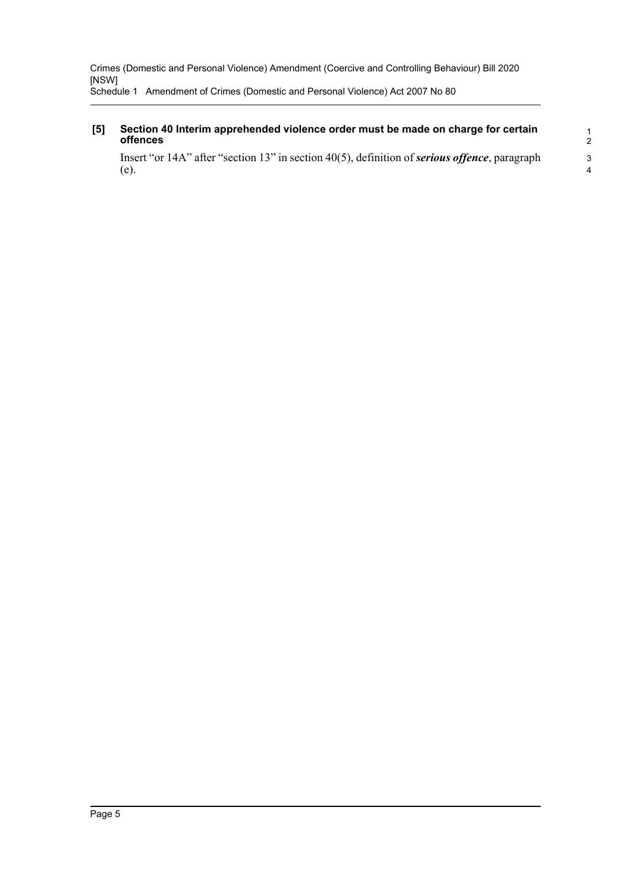#### **[5] Section 40 Interim apprehended violence order must be made on charge for certain offences**

Insert "or 14A" after "section 13" in section 40(5), definition of *serious offence*, paragraph (e).